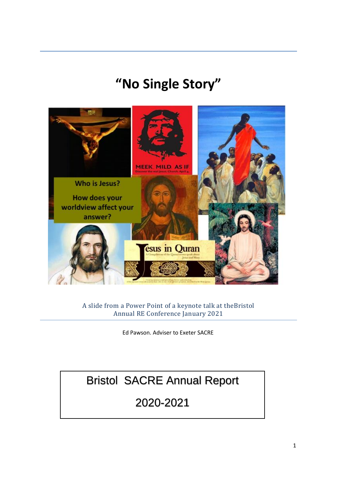# **"No Single Story"**



A slide from a Power Point of a keynote talk at theBristol Annual RE Conference January 2021

Ed Pawson. Adviser to Exeter SACRE

# Bristol SACRE Annual Report

## 2020-2021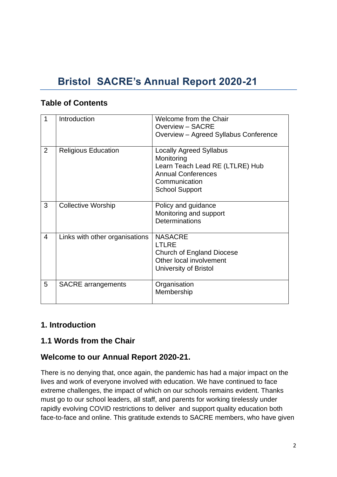## **Bristol SACRE's Annual Report 2020-21**

#### **Table of Contents**

| 1 | Introduction                   | Welcome from the Chair<br>Overview - SACRE<br>Overview - Agreed Syllabus Conference                                                                    |
|---|--------------------------------|--------------------------------------------------------------------------------------------------------------------------------------------------------|
| 2 | <b>Religious Education</b>     | <b>Locally Agreed Syllabus</b><br>Monitoring<br>Learn Teach Lead RE (LTLRE) Hub<br><b>Annual Conferences</b><br>Communication<br><b>School Support</b> |
| 3 | <b>Collective Worship</b>      | Policy and guidance<br>Monitoring and support<br><b>Determinations</b>                                                                                 |
| 4 | Links with other organisations | <b>NASACRE</b><br><b>LTLRE</b><br>Church of England Diocese<br>Other local involvement<br>University of Bristol                                        |
| 5 | <b>SACRE</b> arrangements      | Organisation<br>Membership                                                                                                                             |

#### **1. Introduction**

#### **1.1 Words from the Chair**

#### **Welcome to our Annual Report 2020-21.**

There is no denying that, once again, the pandemic has had a major impact on the lives and work of everyone involved with education. We have continued to face extreme challenges, the impact of which on our schools remains evident. Thanks must go to our school leaders, all staff, and parents for working tirelessly under rapidly evolving COVID restrictions to deliver and support quality education both face-to-face and online. This gratitude extends to SACRE members, who have given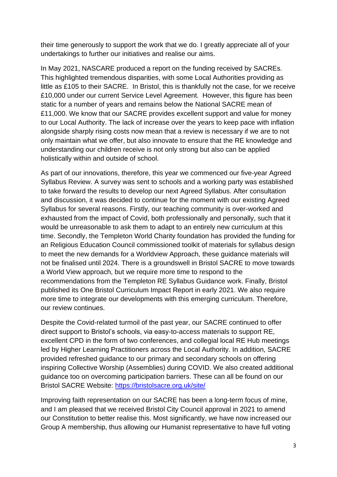their time generously to support the work that we do. I greatly appreciate all of your undertakings to further our initiatives and realise our aims.

In May 2021, NASCARE produced a report on the funding received by SACREs. This highlighted tremendous disparities, with some Local Authorities providing as little as £105 to their SACRE. In Bristol, this is thankfully not the case, for we receive £10,000 under our current Service Level Agreement. However, this figure has been static for a number of years and remains below the National SACRE mean of £11,000. We know that our SACRE provides excellent support and value for money to our Local Authority. The lack of increase over the years to keep pace with inflation alongside sharply rising costs now mean that a review is necessary if we are to not only maintain what we offer, but also innovate to ensure that the RE knowledge and understanding our children receive is not only strong but also can be applied holistically within and outside of school.

As part of our innovations, therefore, this year we commenced our five-year Agreed Syllabus Review. A survey was sent to schools and a working party was established to take forward the results to develop our next Agreed Syllabus. After consultation and discussion, it was decided to continue for the moment with our existing Agreed Syllabus for several reasons. Firstly, our teaching community is over-worked and exhausted from the impact of Covid, both professionally and personally, such that it would be unreasonable to ask them to adapt to an entirely new curriculum at this time. Secondly, the Templeton World Charity foundation has provided the funding for an Religious Education Council commissioned toolkit of materials for syllabus design to meet the new demands for a Worldview Approach, these guidance materials will not be finalised until 2024. There is a groundswell in Bristol SACRE to move towards a World View approach, but we require more time to respond to the recommendations from the Templeton RE Syllabus Guidance work. Finally, Bristol published its One Bristol Curriculum Impact Report in early 2021. We also require more time to integrate our developments with this emerging curriculum. Therefore, our review continues.

Despite the Covid-related turmoil of the past year, our SACRE continued to offer direct support to Bristol's schools, via easy-to-access materials to support RE, excellent CPD in the form of two conferences, and collegial local RE Hub meetings led by Higher Learning Practitioners across the Local Authority. In addition, SACRE provided refreshed guidance to our primary and secondary schools on offering inspiring Collective Worship (Assemblies) during COVID. We also created additional guidance too on overcoming participation barriers. These can all be found on our Bristol SACRE Website:<https://bristolsacre.org.uk/site/>

Improving faith representation on our SACRE has been a long-term focus of mine, and I am pleased that we received Bristol City Council approval in 2021 to amend our Constitution to better realise this. Most significantly, we have now increased our Group A membership, thus allowing our Humanist representative to have full voting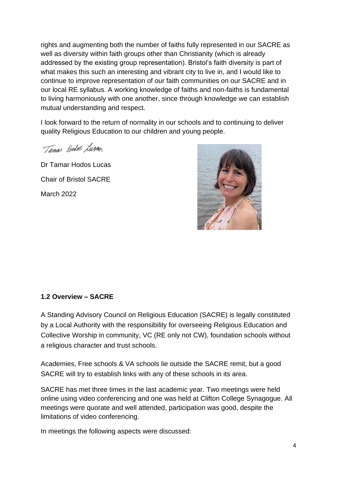rights and augmenting both the number of faiths fully represented in our SACRE as well as diversity within faith groups other than Christianity (which is already addressed by the existing group representation). Bristol's faith diversity is part of what makes this such an interesting and vibrant city to live in, and I would like to continue to improve representation of our faith communities on our SACRE and in our local RE syllabus. A working knowledge of faiths and non-faiths is fundamental to living harmoniously with one another, since through knowledge we can establish mutual understanding and respect.

I look forward to the return of normality in our schools and to continuing to deliver quality Religious Education to our children and young people.

Taman Hedra Lurag

Dr Tamar Hodos Lucas Chair of Bristol SACRE March 2022



#### **1.2 Overview – SACRE**

A Standing Advisory Council on Religious Education (SACRE) is legally constituted by a Local Authority with the responsibility for overseeing Religious Education and Collective Worship in community, VC (RE only not CW), foundation schools without a religious character and trust schools.

Academies, Free schools & VA schools lie outside the SACRE remit, but a good SACRE will try to establish links with any of these schools in its area.

SACRE has met three times in the last academic year. Two meetings were held online using video conferencing and one was held at Clifton College Synagogue. All meetings were quorate and well attended, participation was good, despite the limitations of video conferencing.

In meetings the following aspects were discussed: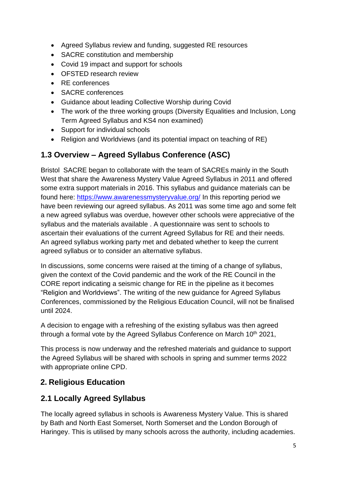- Agreed Syllabus review and funding, suggested RE resources
- SACRE constitution and membership
- Covid 19 impact and support for schools
- OFSTED research review
- RE conferences
- SACRE conferences
- Guidance about leading Collective Worship during Covid
- The work of the three working groups (Diversity Equalities and Inclusion, Long Term Agreed Syllabus and KS4 non examined)
- Support for individual schools
- Religion and Worldviews (and its potential impact on teaching of RE)

#### **1.3 Overview – Agreed Syllabus Conference (ASC)**

Bristol SACRE began to collaborate with the team of SACREs mainly in the South West that share the Awareness Mystery Value Agreed Syllabus in 2011 and offered some extra support materials in 2016. This syllabus and guidance materials can be found here:<https://www.awarenessmysteryvalue.org/> In this reporting period we have been reviewing our agreed syllabus. As 2011 was some time ago and some felt a new agreed syllabus was overdue, however other schools were appreciative of the syllabus and the materials available . A questionnaire was sent to schools to ascertain their evaluations of the current Agreed Syllabus for RE and their needs. An agreed syllabus working party met and debated whether to keep the current agreed syllabus or to consider an alternative syllabus.

In discussions, some concerns were raised at the timing of a change of syllabus, given the context of the Covid pandemic and the work of the RE Council in the CORE report indicating a seismic change for RE in the pipeline as it becomes "Religion and Worldviews". The writing of the new guidance for Agreed Syllabus Conferences, commissioned by the Religious Education Council, will not be finalised until 2024.

A decision to engage with a refreshing of the existing syllabus was then agreed through a formal vote by the Agreed Syllabus Conference on March 10<sup>th</sup> 2021,

This process is now underway and the refreshed materials and guidance to support the Agreed Syllabus will be shared with schools in spring and summer terms 2022 with appropriate online CPD.

#### **2. Religious Education**

#### **2.1 Locally Agreed Syllabus**

The locally agreed syllabus in schools is Awareness Mystery Value. This is shared by Bath and North East Somerset, North Somerset and the London Borough of Haringey. This is utilised by many schools across the authority, including academies.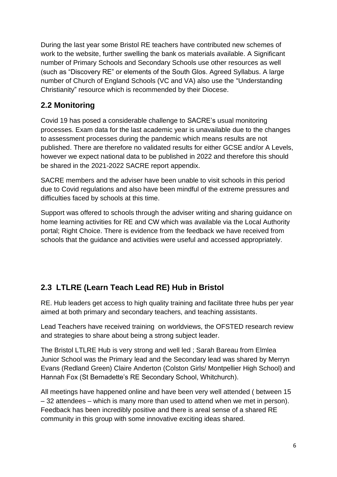During the last year some Bristol RE teachers have contributed new schemes of work to the website, further swelling the bank os materials available. A Significant number of Primary Schools and Secondary Schools use other resources as well (such as "Discovery RE" or elements of the South Glos. Agreed Syllabus. A large number of Church of England Schools (VC and VA) also use the "Understanding Christianity" resource which is recommended by their Diocese.

#### **2.2 Monitoring**

Covid 19 has posed a considerable challenge to SACRE's usual monitoring processes. Exam data for the last academic year is unavailable due to the changes to assessment processes during the pandemic which means results are not published. There are therefore no validated results for either GCSE and/or A Levels, however we expect national data to be published in 2022 and therefore this should be shared in the 2021-2022 SACRE report appendix.

SACRE members and the adviser have been unable to visit schools in this period due to Covid regulations and also have been mindful of the extreme pressures and difficulties faced by schools at this time.

Support was offered to schools through the adviser writing and sharing guidance on home learning activities for RE and CW which was available via the Local Authority portal; Right Choice. There is evidence from the feedback we have received from schools that the guidance and activities were useful and accessed appropriately.

## **2.3 LTLRE (Learn Teach Lead RE) Hub in Bristol**

RE. Hub leaders get access to high quality training and facilitate three hubs per year aimed at both primary and secondary teachers, and teaching assistants.

Lead Teachers have received training on worldviews, the OFSTED research review and strategies to share about being a strong subject leader.

The Bristol LTLRE Hub is very strong and well led ; Sarah Bareau from Elmlea Junior School was the Primary lead and the Secondary lead was shared by Merryn Evans (Redland Green) Claire Anderton (Colston Girls/ Montpellier High School) and Hannah Fox (St Bernadette's RE Secondary School, Whitchurch).

All meetings have happened online and have been very well attended ( between 15 – 32 attendees – which is many more than used to attend when we met in person). Feedback has been incredibly positive and there is areal sense of a shared RE community in this group with some innovative exciting ideas shared.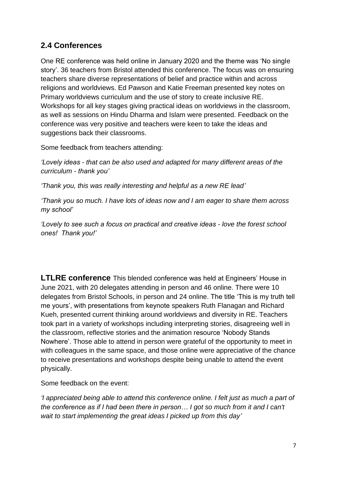#### **2.4 Conferences**

One RE conference was held online in January 2020 and the theme was 'No single story'. 36 teachers from Bristol attended this conference. The focus was on ensuring teachers share diverse representations of belief and practice within and across religions and worldviews. Ed Pawson and Katie Freeman presented key notes on Primary worldviews curriculum and the use of story to create inclusive RE. Workshops for all key stages giving practical ideas on worldviews in the classroom, as well as sessions on Hindu Dharma and Islam were presented. Feedback on the conference was very positive and teachers were keen to take the ideas and suggestions back their classrooms.

Some feedback from teachers attending:

*'Lovely ideas - that can be also used and adapted for many different areas of the curriculum - thank you'*

*'Thank you, this was really interesting and helpful as a new RE lead'*

*'Thank you so much. I have lots of ideas now and I am eager to share them across my school'*

*'Lovely to see such a focus on practical and creative ideas - love the forest school ones! Thank you!'*

**LTLRE conference** This blended conference was held at Engineers' House in June 2021, with 20 delegates attending in person and 46 online. There were 10 delegates from Bristol Schools, in person and 24 online. The title 'This is my truth tell me yours', with presentations from keynote speakers Ruth Flanagan and Richard Kueh, presented current thinking around worldviews and diversity in RE. Teachers took part in a variety of workshops including interpreting stories, disagreeing well in the classroom, reflective stories and the animation resource 'Nobody Stands Nowhere'. Those able to attend in person were grateful of the opportunity to meet in with colleagues in the same space, and those online were appreciative of the chance to receive presentations and workshops despite being unable to attend the event physically.

Some feedback on the event:

*'I appreciated being able to attend this conference online. I felt just as much a part of the conference as if I had been there in person… I got so much from it and I can't wait to start implementing the great ideas I picked up from this day'*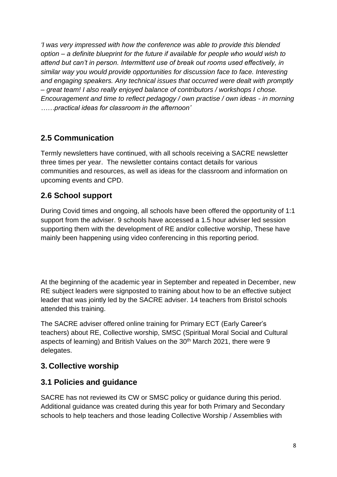*'I was very impressed with how the conference was able to provide this blended option – a definite blueprint for the future if available for people who would wish to attend but can't in person. Intermittent use of break out rooms used effectively, in similar way you would provide opportunities for discussion face to face. Interesting and engaging speakers. Any technical issues that occurred were dealt with promptly – great team! I also really enjoyed balance of contributors / workshops I chose. Encouragement and time to reflect pedagogy / own practise / own ideas - in morning ……practical ideas for classroom in the afternoon'*

## **2.5 Communication**

Termly newsletters have continued, with all schools receiving a SACRE newsletter three times per year. The newsletter contains contact details for various communities and resources, as well as ideas for the classroom and information on upcoming events and CPD.

## **2.6 School support**

During Covid times and ongoing, all schools have been offered the opportunity of 1:1 support from the adviser. 9 schools have accessed a 1.5 hour adviser led session supporting them with the development of RE and/or collective worship, These have mainly been happening using video conferencing in this reporting period.

At the beginning of the academic year in September and repeated in December, new RE subject leaders were signposted to training about how to be an effective subject leader that was jointly led by the SACRE adviser. 14 teachers from Bristol schools attended this training.

The SACRE adviser offered online training for Primary ECT (Early Career's teachers) about RE, Collective worship, SMSC (Spiritual Moral Social and Cultural aspects of learning) and British Values on the 30<sup>th</sup> March 2021, there were 9 delegates.

#### **3. Collective worship**

#### **3.1 Policies and guidance**

SACRE has not reviewed its CW or SMSC policy or guidance during this period. Additional guidance was created during this year for both Primary and Secondary schools to help teachers and those leading Collective Worship / Assemblies with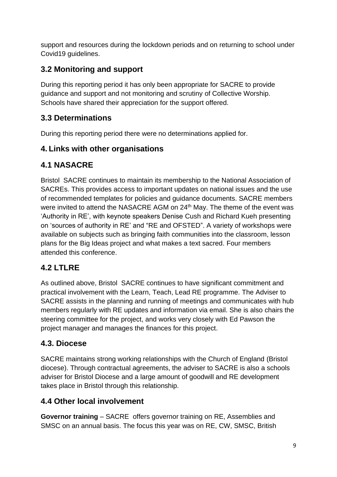support and resources during the lockdown periods and on returning to school under Covid19 guidelines.

## **3.2 Monitoring and support**

During this reporting period it has only been appropriate for SACRE to provide guidance and support and not monitoring and scrutiny of Collective Worship. Schools have shared their appreciation for the support offered.

#### **3.3 Determinations**

During this reporting period there were no determinations applied for.

#### **4. Links with other organisations**

#### **4.1 NASACRE**

Bristol SACRE continues to maintain its membership to the National Association of SACREs. This provides access to important updates on national issues and the use of recommended templates for policies and guidance documents. SACRE members were invited to attend the NASACRE AGM on 24<sup>th</sup> May. The theme of the event was 'Authority in RE', with keynote speakers Denise Cush and Richard Kueh presenting on 'sources of authority in RE' and "RE and OFSTED". A variety of workshops were available on subjects such as bringing faith communities into the classroom, lesson plans for the Big Ideas project and what makes a text sacred. Four members attended this conference.

## **4.2 LTLRE**

As outlined above, Bristol SACRE continues to have significant commitment and practical involvement with the Learn, Teach, Lead RE programme. The Adviser to SACRE assists in the planning and running of meetings and communicates with hub members regularly with RE updates and information via email. She is also chairs the steering committee for the project, and works very closely with Ed Pawson the project manager and manages the finances for this project.

#### **4.3. Diocese**

SACRE maintains strong working relationships with the Church of England (Bristol diocese). Through contractual agreements, the adviser to SACRE is also a schools adviser for Bristol Diocese and a large amount of goodwill and RE development takes place in Bristol through this relationship.

#### **4.4 Other local involvement**

**Governor training** – SACRE offers governor training on RE, Assemblies and SMSC on an annual basis. The focus this year was on RE, CW, SMSC, British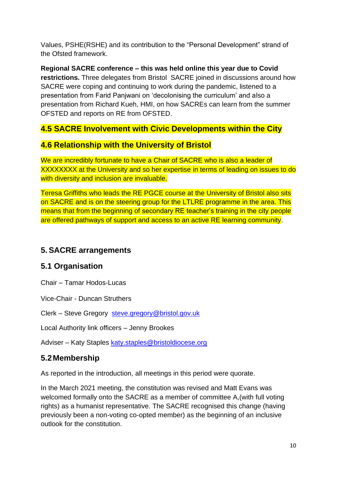Values, PSHE(RSHE) and its contribution to the "Personal Development" strand of the Ofsted framework.

**Regional SACRE conference – this was held online this year due to Covid restrictions.** Three delegates from Bristol SACRE joined in discussions around how SACRE were coping and continuing to work during the pandemic, listened to a presentation from Farid Panjwani on 'decolonising the curriculum' and also a presentation from Richard Kueh, HMI, on how SACREs can learn from the summer OFSTED and reports on RE from OFSTED.

#### **4.5 SACRE Involvement with Civic Developments within the City**

#### **4.6 Relationship with the University of Bristol**

We are incredibly fortunate to have a Chair of SACRE who is also a leader of XXXXXXXX at the University and so her expertise in terms of leading on issues to do with diversity and inclusion are invaluable.

Teresa Griffiths who leads the RE PGCE course at the University of Bristol also sits on SACRE and is on the steering group for the LTLRE programme in the area. This means that from the beginning of secondary RE teacher's training in the city people are offered pathways of support and access to an active RE learning community.

#### **5. SACRE arrangements**

#### **5.1 Organisation**

Chair – Tamar Hodos-Lucas

Vice-Chair - Duncan Struthers

Clerk – Steve Gregory [steve.gregory@bristol.gov.uk](mailto:steve.gregory@bristol.gov.uk)

Local Authority link officers – Jenny Brookes

Adviser – Katy Staples [katy.staples@bristoldiocese.org](mailto:katy.staples@bristoldiocese.org)

## **5.2Membership**

As reported in the introduction, all meetings in this period were quorate.

In the March 2021 meeting, the constitution was revised and Matt Evans was welcomed formally onto the SACRE as a member of committee A,(with full voting rights) as a humanist representative. The SACRE recognised this change (having previously been a non-voting co-opted member) as the beginning of an inclusive outlook for the constitution.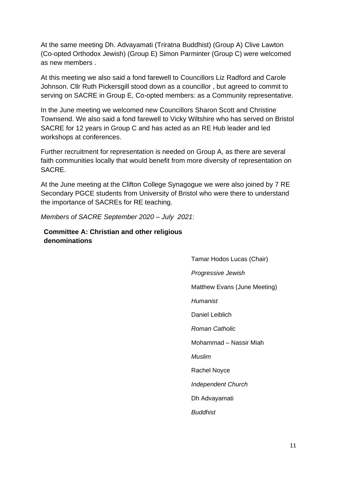At the same meeting Dh. Advayamati (Triratna Buddhist) (Group A) Clive Lawton (Co-opted Orthodox Jewish) (Group E) Simon Parminter (Group C) were welcomed as new members

At this meeting we also said a fond farewell to Councillors Liz Radford and Carole Johnson. Cllr Ruth Pickersgill stood down as a councillor , but agreed to commit to serving on SACRE in Group E, Co-opted members: as a Community representative.

In the June meeting we welcomed new Councillors Sharon Scott and Christine Townsend. We also said a fond farewell to Vicky Wiltshire who has served on Bristol SACRE for 12 years in Group C and has acted as an RE Hub leader and led workshops at conferences.

Further recruitment for representation is needed on Group A, as there are several faith communities locally that would benefit from more diversity of representation on SACRE.

At the June meeting at the Clifton College Synagogue we were also joined by 7 RE Secondary PGCE students from University of Bristol who were there to understand the importance of SACREs for RE teaching.

*Members of SACRE September 2020 – July 2021*:

**Committee A: Christian and other religious denominations** 

> Tamar Hodos Lucas (Chair) *Progressive Jewish*  Matthew Evans (June Meeting) *Humanist* Daniel Leiblich *Roman Catholic*  Mohammad – Nassir Miah *Muslim*  Rachel Noyce *Independent Church* Dh Advayamati *Buddhist*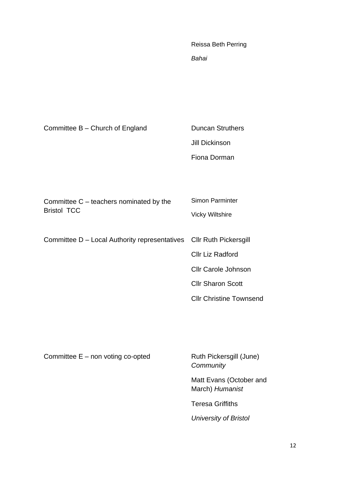Reissa Beth Perring *Bahai* 

| Committee B - Church of England                                     | <b>Duncan Struthers</b><br><b>Jill Dickinson</b><br>Fiona Dorman                                                                              |
|---------------------------------------------------------------------|-----------------------------------------------------------------------------------------------------------------------------------------------|
| Committee $C$ – teachers nominated by the<br><b>Bristol TCC</b>     | <b>Simon Parminter</b><br><b>Vicky Wiltshire</b>                                                                                              |
| Committee D - Local Authority representatives Cllr Ruth Pickersgill | <b>Cllr Liz Radford</b><br><b>Cllr Carole Johnson</b><br><b>Cllr Sharon Scott</b><br><b>Cllr Christine Townsend</b>                           |
| Committee $E$ – non voting co-opted                                 | Ruth Pickersgill (June)<br>Community<br>Matt Evans (October and<br>March) Humanist<br><b>Teresa Griffiths</b><br><b>University of Bristol</b> |